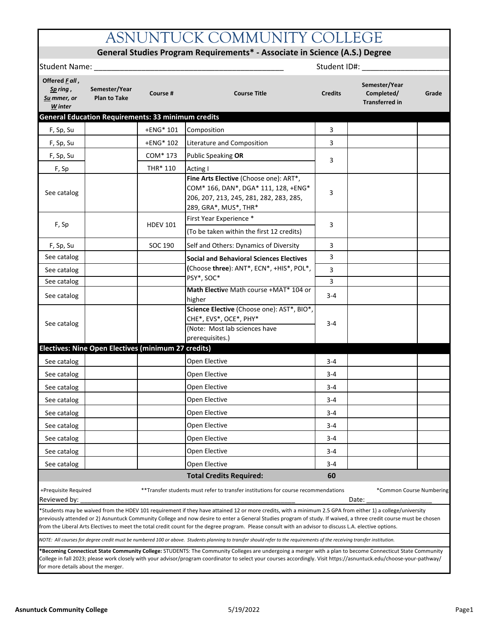# ASNUNTUCK COMMUNITY COLLEGE

## **General Studies Program Requirements\* - Associate in Science (A.S.) Degree**

| Student Name:                                                                                           |                                                           |                 |                                                                                                                                                                                                                                                                                                                                                                                                                                                                                            |                | Student ID#:                                         |       |  |
|---------------------------------------------------------------------------------------------------------|-----------------------------------------------------------|-----------------|--------------------------------------------------------------------------------------------------------------------------------------------------------------------------------------------------------------------------------------------------------------------------------------------------------------------------------------------------------------------------------------------------------------------------------------------------------------------------------------------|----------------|------------------------------------------------------|-------|--|
| Offered Fall,<br>Semester/Year<br>Sp ring,<br>Course #<br><b>Plan to Take</b><br>Su mmer, or<br>W inter |                                                           |                 | <b>Course Title</b>                                                                                                                                                                                                                                                                                                                                                                                                                                                                        | <b>Credits</b> | Semester/Year<br>Completed/<br><b>Transferred in</b> | Grade |  |
|                                                                                                         | <b>General Education Requirements: 33 minimum credits</b> |                 |                                                                                                                                                                                                                                                                                                                                                                                                                                                                                            |                |                                                      |       |  |
| F, Sp, Su                                                                                               |                                                           | +ENG* 101       | Composition                                                                                                                                                                                                                                                                                                                                                                                                                                                                                | 3              |                                                      |       |  |
| F, Sp, Su                                                                                               |                                                           | +ENG* 102       | Literature and Composition                                                                                                                                                                                                                                                                                                                                                                                                                                                                 | 3              |                                                      |       |  |
| F, Sp, Su                                                                                               |                                                           | COM* 173        | Public Speaking OR                                                                                                                                                                                                                                                                                                                                                                                                                                                                         | 3              |                                                      |       |  |
| F, Sp                                                                                                   |                                                           | THR* 110        | Acting I                                                                                                                                                                                                                                                                                                                                                                                                                                                                                   |                |                                                      |       |  |
| See catalog                                                                                             |                                                           |                 | Fine Arts Elective (Choose one): ART*,<br>COM* 166, DAN*, DGA* 111, 128, +ENG*<br>206, 207, 213, 245, 281, 282, 283, 285,<br>289, GRA*, MUS*, THR*                                                                                                                                                                                                                                                                                                                                         | 3              |                                                      |       |  |
| F, Sp                                                                                                   |                                                           | <b>HDEV 101</b> | First Year Experience *                                                                                                                                                                                                                                                                                                                                                                                                                                                                    | 3              |                                                      |       |  |
|                                                                                                         |                                                           |                 | (To be taken within the first 12 credits)                                                                                                                                                                                                                                                                                                                                                                                                                                                  |                |                                                      |       |  |
| F, Sp, Su                                                                                               |                                                           | SOC 190         | Self and Others: Dynamics of Diversity                                                                                                                                                                                                                                                                                                                                                                                                                                                     | 3              |                                                      |       |  |
| See catalog                                                                                             |                                                           |                 | <b>Social and Behavioral Sciences Electives</b>                                                                                                                                                                                                                                                                                                                                                                                                                                            | 3              |                                                      |       |  |
| See catalog                                                                                             |                                                           |                 | (Choose three): ANT*, ECN*, +HIS*, POL*,                                                                                                                                                                                                                                                                                                                                                                                                                                                   | 3              |                                                      |       |  |
| See catalog                                                                                             |                                                           |                 | PSY*, SOC*                                                                                                                                                                                                                                                                                                                                                                                                                                                                                 | 3              |                                                      |       |  |
| See catalog                                                                                             |                                                           |                 | Math Elective Math course +MAT* 104 or<br>higher                                                                                                                                                                                                                                                                                                                                                                                                                                           | $3 - 4$        |                                                      |       |  |
| See catalog                                                                                             |                                                           |                 | Science Elective (Choose one): AST*, BIO*,<br>CHE*, EVS*, OCE*, PHY*<br>(Note: Most lab sciences have<br>prerequisites.)                                                                                                                                                                                                                                                                                                                                                                   | $3 - 4$        |                                                      |       |  |
|                                                                                                         | Electives: Nine Open Electives (minimum 27 credits)       |                 |                                                                                                                                                                                                                                                                                                                                                                                                                                                                                            |                |                                                      |       |  |
| See catalog                                                                                             |                                                           |                 | Open Elective                                                                                                                                                                                                                                                                                                                                                                                                                                                                              | 3-4            |                                                      |       |  |
| See catalog                                                                                             |                                                           |                 | Open Elective                                                                                                                                                                                                                                                                                                                                                                                                                                                                              | $3 - 4$        |                                                      |       |  |
| See catalog                                                                                             |                                                           |                 | Open Elective                                                                                                                                                                                                                                                                                                                                                                                                                                                                              | 3-4            |                                                      |       |  |
| See catalog                                                                                             |                                                           |                 | Open Elective                                                                                                                                                                                                                                                                                                                                                                                                                                                                              | $3 - 4$        |                                                      |       |  |
| See catalog                                                                                             |                                                           |                 | Open Elective                                                                                                                                                                                                                                                                                                                                                                                                                                                                              | $3 - 4$        |                                                      |       |  |
| See catalog                                                                                             |                                                           |                 | Open Elective                                                                                                                                                                                                                                                                                                                                                                                                                                                                              | $3 - 4$        |                                                      |       |  |
| See catalog                                                                                             |                                                           |                 | Open Elective                                                                                                                                                                                                                                                                                                                                                                                                                                                                              | $3 - 4$        |                                                      |       |  |
| See catalog                                                                                             |                                                           |                 | Open Elective                                                                                                                                                                                                                                                                                                                                                                                                                                                                              | $3 - 4$        |                                                      |       |  |
| See catalog                                                                                             |                                                           |                 | Open Elective                                                                                                                                                                                                                                                                                                                                                                                                                                                                              | 3-4            |                                                      |       |  |
|                                                                                                         |                                                           |                 | <b>Total Credits Required:</b>                                                                                                                                                                                                                                                                                                                                                                                                                                                             | 60             |                                                      |       |  |
| +Prequisite Required<br>Reviewed by:                                                                    |                                                           |                 | ** Transfer students must refer to transfer institutions for course recommendations                                                                                                                                                                                                                                                                                                                                                                                                        |                | *Common Course Numbering<br>Date:                    |       |  |
|                                                                                                         |                                                           |                 | *Students may be waived from the HDEV 101 requirement if they have attained 12 or more credits, with a minimum 2.5 GPA from either 1) a college/university<br>previously attended or 2) Asnuntuck Community College and now desire to enter a General Studies program of study. If waived, a three credit course must be chosen<br>from the Liberal Arts Electives to meet the total credit count for the degree program. Please consult with an advisor to discuss L.A. elective options. |                |                                                      |       |  |
|                                                                                                         |                                                           |                 | NOTE: All courses for degree credit must be numbered 100 or above. Students planning to transfer should refer to the requirements of the receiving transfer institution.                                                                                                                                                                                                                                                                                                                   |                |                                                      |       |  |
| for more details about the merger.                                                                      |                                                           |                 | <b>Becoming Connecticut State Community College:</b> STUDENTS: The Community Colleges are undergoing a merger with a plan to become Connecticut State Community<br>College in fall 2023; please work closely with your advisor/program coordinator to select your courses accordingly. Visit https://asnuntuck.edu/choose-your-pathway/                                                                                                                                                    |                |                                                      |       |  |